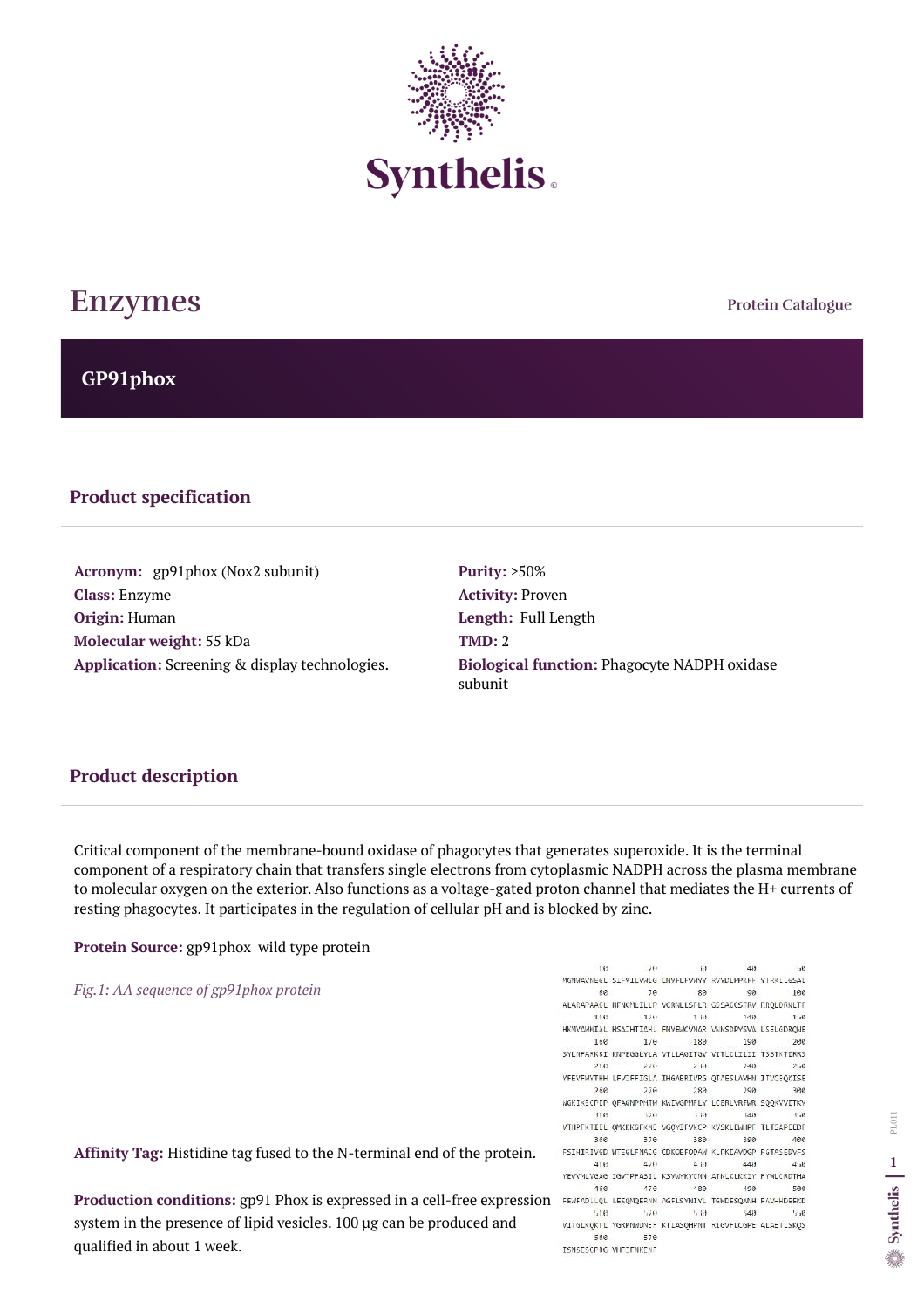**Protein Catalogue**

**GP91phox**



# **Enzymes**

#### **Product specification**

Acronym: gp91phox (Nox2 subunit) **Class:** Enzyme **Origin:** Human **Molecular weight:** 55 kDa **Application:** Screening & display technologies. **Purity:** >50% **Activity:** Proven **Length:** Full Length **TMD:** 2 **Biological function:** Phagocyte NADPH oxidase subunit

### **Product description**

**Production conditions:** gp91 Phox is expressed in a cell-free expression FEWFADLLQL LESQMQERNN AGFLSYNIYL TENDESQANH FAVHHDEEKD system in the presence of lipid vesicles. 100 µg can be produced and qualified in about 1 week.

16 -20  $#1$  $\mathcal{H}$ 40 MGNWAVNEGL SIFVILVWLG LNVFLFVWYY RVYDIPPKFF YTRKLLGSAL  $68$ 70 89 90 100 ALARAPAACL NFNCMLILLP VCRNLLSFLR GSSACCSTRV RRQLDRNLTF 128 118 7 111  $740$  $1.46$ HKMVAWMIAL HSAIHTIAHL FWVEWCVNAR VNNSDPYSVA LSELGDRQME 160 170 189 190 200 SYLNFARKRI KNPEGGLYLA VTLLAGITGV VITLCLILII TSSTKTIRRS 218 220 2.111  $748$  $7'.6$ YFEVEWYTHH LFVIFFIGLA IHGAERIVRS QTAESLAVHN ITVCEQKISE 260 270 289 290 300 WGKIKECPIP QFAGNPPMTW KWIVGPMFLY LCERLVRFWR SQQKVVITKV 5219  $140$ 116  $148$  $3'$ <sub>x</sub> $(3)$ VTHPFKTIEL QMKKKGFKME VGQYIFVKCP KVSKLEWHPF TLTSAPEEDF 360 370 389 390  $100$ FSIHIRIVED WTEGLFNACE CDKQEFQDAW KLPKIAVDGP FGTASEDVFS 418  $470$  $4$ iil  $440$  $4,0$ YEVVMLVGAG IGVTPFASIL KSVMMKYCNN ATNLKLKKIY FYMLCRDTHA  $168$ 170 189 490 500  $110 -$ 5213  $H$  $-48$  $1.1.63$ VITGLKQKTL YGRPNWDNEF KTIASQHPNT RIGVFLCGPE ALAETLSKQS 560 578 ISNSESGPRG VHFIFNKENF

Critical component of the membrane-bound oxidase of phagocytes that generates superoxide. It is the terminal component of a respiratory chain that transfers single electrons from cytoplasmic NADPH across the plasma membrane to molecular oxygen on the exterior. Also functions as a voltage-gated proton channel that mediates the H+ currents of resting phagocytes. It participates in the regulation of cellular pH and is blocked by zinc.

**Protein Source:** gp91phox wild type protein

*Fig.1: AA sequence of gp91phox protein* 

**Affinity Tag:** Histidine tag fused to the N-terminal end of the protein.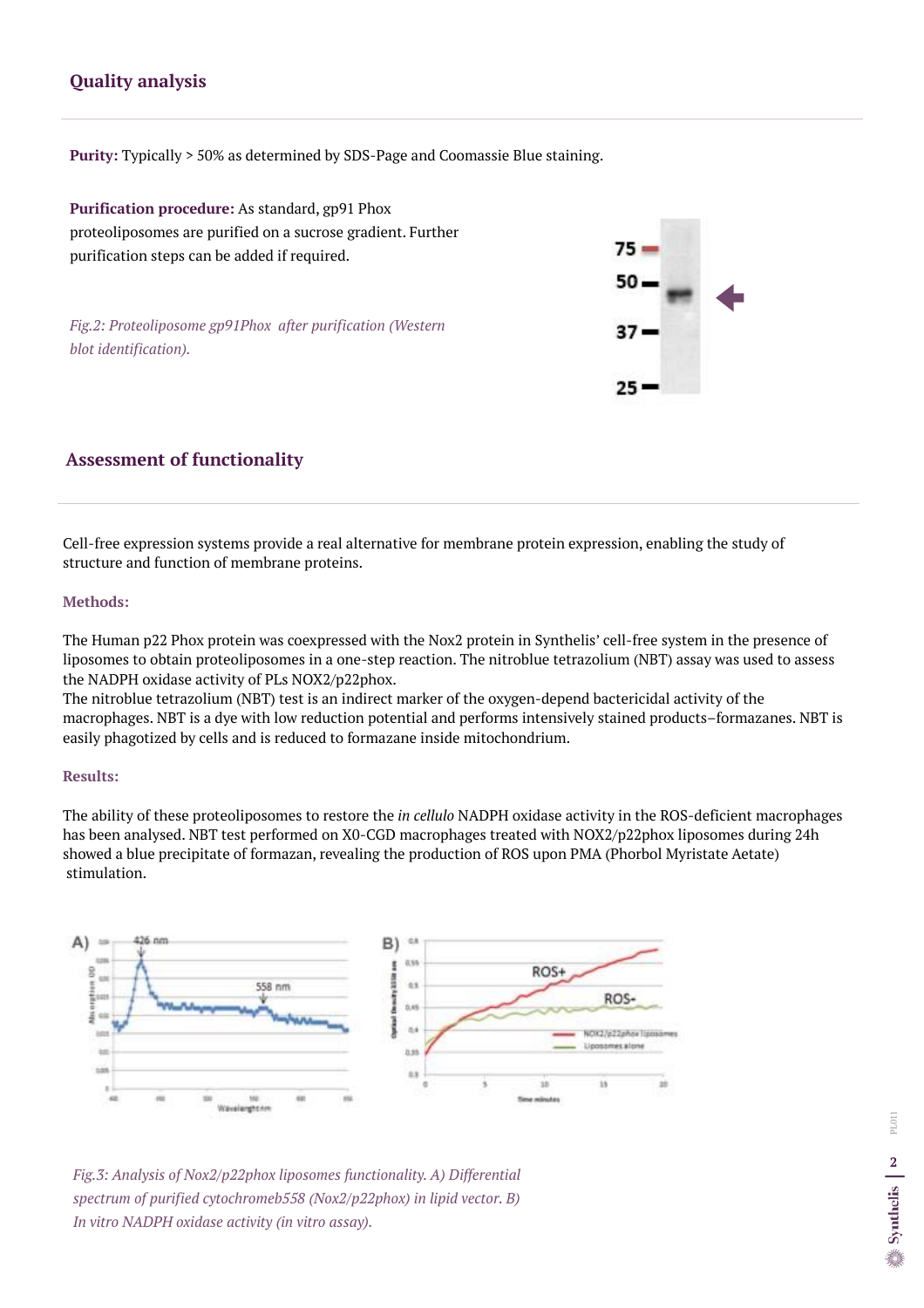Cell-free expression systems provide a real alternative for membrane protein expression, enabling the study of structure and function of membrane proteins.

#### **Methods:**

The Human p22 Phox protein was coexpressed with the Nox2 protein in Synthelis' cell-free system in the presence of liposomes to obtain proteoliposomes in a one-step reaction. The nitroblue tetrazolium (NBT) assay was used to assess the NADPH oxidase activity of PLs NOX2/p22phox.

The nitroblue tetrazolium (NBT) test is an indirect marker of the oxygen-depend bactericidal activity of the macrophages. NBT is a dye with low reduction potential and performs intensively stained products–formazanes. NBT is easily phagotized by cells and is reduced to formazane inside mitochondrium.

#### **Results:**

The ability of these proteoliposomes to restore the *in cellulo* NADPH oxidase activity in the ROS-deficient macrophages has been analysed. NBT test performed on X0-CGD macrophages treated with NOX2/p22phox liposomes during 24h showed a blue precipitate of formazan, revealing the production of ROS upon PMA (Phorbol Myristate Aetate) stimulation.



## **Assessment of functionality**

## **Quality analysis**

**Purity:** Typically > 50% as determined by SDS-Page and Coomassie Blue staining.

**Purification procedure:** As standard, gp91 Phox proteoliposomes are purified on a sucrose gradient. Further purification steps can be added if required.

*Fig.2: Proteoliposome gp91Phox after purification (Western blot identification).* 



*Fig.3: Analysis of Nox2/p22phox liposomes functionality. A) Differential spectrum of purified cytochromeb558 (Nox2/p22phox) in lipid vector. B) In vitro NADPH oxidase activity (in vitro assay).*